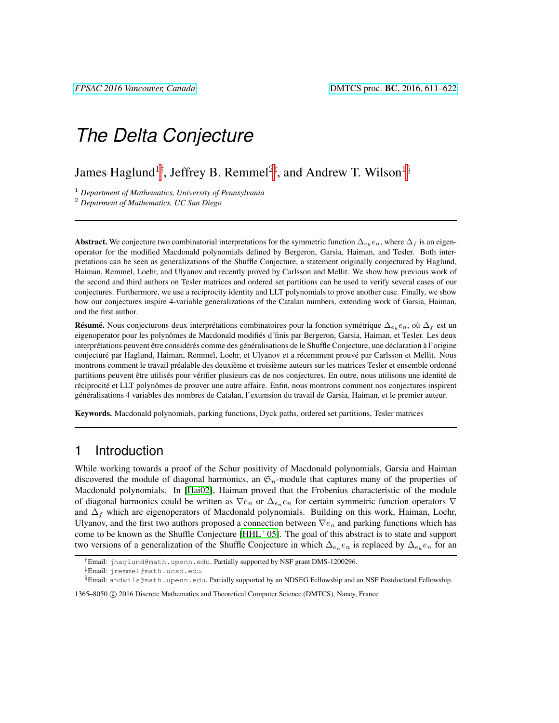James Haglund $^{1\dagger}$ , Jeffrey B. Remmel $^{2\dagger}$ , and Andrew T. Wilson $^{1\S}$ 

<sup>1</sup> *Department of Mathematics, University of Pennsylvania*

<sup>2</sup> *Deparment of Mathematics, UC San Diego*

Abstract. We conjecture two combinatorial interpretations for the symmetric function  $\Delta_{e_k}e_n$ , where  $\Delta_f$  is an eigenoperator for the modified Macdonald polynomials defined by Bergeron, Garsia, Haiman, and Tesler. Both interpretations can be seen as generalizations of the Shuffle Conjecture, a statement originally conjectured by Haglund, Haiman, Remmel, Loehr, and Ulyanov and recently proved by Carlsson and Mellit. We show how previous work of the second and third authors on Tesler matrices and ordered set partitions can be used to verify several cases of our conjectures. Furthermore, we use a reciprocity identity and LLT polynomials to prove another case. Finally, we show how our conjectures inspire 4-variable generalizations of the Catalan numbers, extending work of Garsia, Haiman, and the first author.

**Résumé.** Nous conjecturons deux interprétations combinatoires pour la fonction symétrique  $\Delta_{e_k}e_n$ , où  $\Delta_f$  est un eigenoperator pour les polynômes de Macdonald modifiés d'finis par Bergeron, Garsia, Haiman, et Tesler. Les deux interprétations peuvent être considérés comme des généralisations de le Shuffle Conjecture, une déclaration à l'origine conjecturé par Haglund, Haiman, Remmel, Loehr, et Ulyanov et a récemment prouvé par Carlsson et Mellit. Nous montrons comment le travail préalable des deuxième et troisième auteurs sur les matrices Tesler et ensemble ordonné partitions peuvent être utilisés pour vérifier plusieurs cas de nos conjectures. En outre, nous utilisons une identité de réciprocité et LLT polynômes de prouver une autre affaire. Enfin, nous montrons comment nos conjectures inspirent généralisations 4 variables des nombres de Catalan, l'extension du travail de Garsia, Haiman, et le premier auteur.

Keywords. Macdonald polynomials, parking functions, Dyck paths, ordered set partitions, Tesler matrices

# 1 Introduction

While working towards a proof of the Schur positivity of Macdonald polynomials, Garsia and Haiman discovered the module of diagonal harmonics, an  $\mathfrak{S}_n$ -module that captures many of the properties of Macdonald polynomials. In [\[Hai02\]](#page-11-0), Haiman proved that the Frobenius characteristic of the module of diagonal harmonics could be written as  $\nabla e_n$  or  $\Delta_{e_n} e_n$  for certain symmetric function operators  $\nabla$ and  $\Delta_f$  which are eigenoperators of Macdonald polynomials. Building on this work, Haiman, Loehr, Ulyanov, and the first two authors proposed a connection between  $\nabla e_n$  and parking functions which has come to be known as the Shuffle Conjecture  $[HHL^+05]$  $[HHL^+05]$ . The goal of this abstract is to state and support two versions of a generalization of the Shuffle Conjecture in which  $\Delta_{e_n}e_n$  is replaced by  $\Delta_{e_k}e_n$  for an

<sup>†</sup>Email: jhaglund@math.upenn.edu. Partially supported by NSF grant DMS-1200296.

<sup>‡</sup>Email: jremmel@math.ucsd.edu.

<sup>§</sup>Email: andwils@math.upenn.edu. Partially supported by an NDSEG Fellowship and an NSF Postdoctoral Fellowship.

<sup>1365–8050 (</sup>C) 2016 Discrete Mathematics and Theoretical Computer Science (DMTCS), Nancy, France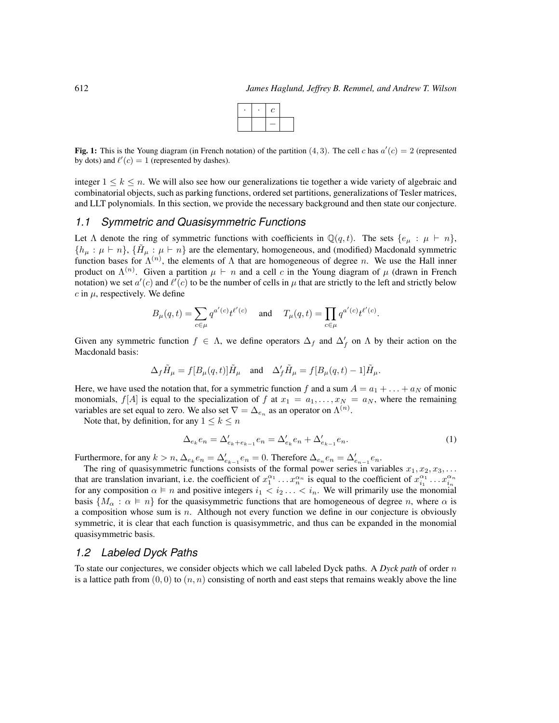Fig. 1: This is the Young diagram (in French notation) of the partition (4, 3). The cell c has  $a'(c) = 2$  (represented by dots) and  $\ell'(c) = 1$  (represented by dashes).

integer  $1 \leq k \leq n$ . We will also see how our generalizations tie together a wide variety of algebraic and combinatorial objects, such as parking functions, ordered set partitions, generalizations of Tesler matrices, and LLT polynomials. In this section, we provide the necessary background and then state our conjecture.

### *1.1 Symmetric and Quasisymmetric Functions*

Let  $\Lambda$  denote the ring of symmetric functions with coefficients in  $\mathbb{Q}(q, t)$ . The sets  $\{e_{\mu} : \mu \vdash n\}$ ,  $\{h_\mu : \mu \vdash n\}$ ,  $\{\tilde{H}_\mu : \mu \vdash n\}$  are the elementary, homogeneous, and (modified) Macdonald symmetric function bases for  $\Lambda^{(n)}$ , the elements of  $\Lambda$  that are homogeneous of degree n. We use the Hall inner product on  $\Lambda^{(n)}$ . Given a partition  $\mu \vdash n$  and a cell c in the Young diagram of  $\mu$  (drawn in French notation) we set  $a'(c)$  and  $\ell'(c)$  to be the number of cells in  $\mu$  that are strictly to the left and strictly below  $c$  in  $\mu$ , respectively. We define

$$
B_{\mu}(q,t) = \sum_{c \in \mu} q^{a'(c)} t^{\ell'(c)} \quad \text{ and } \quad T_{\mu}(q,t) = \prod_{c \in \mu} q^{a'(c)} t^{\ell'(c)}.
$$

Given any symmetric function  $f \in \Lambda$ , we define operators  $\Delta_f$  and  $\Delta'_f$  on  $\Lambda$  by their action on the Macdonald basis:

$$
\Delta_f \tilde{H}_\mu = f[B_\mu(q,t)] \tilde{H}_\mu \quad \text{and} \quad \Delta_f' \tilde{H}_\mu = f[B_\mu(q,t)-1] \tilde{H}_\mu.
$$

Here, we have used the notation that, for a symmetric function f and a sum  $A = a_1 + \ldots + a_N$  of monic monomials,  $f[A]$  is equal to the specialization of f at  $x_1 = a_1, \ldots, x_N = a_N$ , where the remaining variables are set equal to zero. We also set  $\nabla = \Delta_{e_n}$  as an operator on  $\Lambda^{(n)}$ .

Note that, by definition, for any  $1 \leq k \leq n$ 

$$
\Delta_{e_k} e_n = \Delta'_{e_k + e_{k-1}} e_n = \Delta'_{e_k} e_n + \Delta'_{e_{k-1}} e_n.
$$
\n(1)

Furthermore, for any  $k > n$ ,  $\Delta_{e_k} e_n = \Delta'_{e_{k-1}} e_n = 0$ . Therefore  $\Delta_{e_n} e_n = \Delta'_{e_{n-1}} e_n$ .

The ring of quasisymmetric functions consists of the formal power series in variables  $x_1, x_2, x_3, \ldots$ that are translation invariant, i.e. the coefficient of  $x_1^{\alpha_1} \dots x_n^{\alpha_n}$  is equal to the coefficient of  $x_{i_1}^{\alpha_1} \dots x_{i_n}^{\alpha_n}$ for any composition  $\alpha \models n$  and positive integers  $i_1 < i_2 \ldots < i_n$ . We will primarily use the monomial basis  $\{M_{\alpha}: \alpha \models n\}$  for the quasisymmetric functions that are homogeneous of degree n, where  $\alpha$  is a composition whose sum is  $n$ . Although not every function we define in our conjecture is obviously symmetric, it is clear that each function is quasisymmetric, and thus can be expanded in the monomial quasisymmetric basis.

### *1.2 Labeled Dyck Paths*

To state our conjectures, we consider objects which we call labeled Dyck paths. A *Dyck path* of order n is a lattice path from  $(0, 0)$  to  $(n, n)$  consisting of north and east steps that remains weakly above the line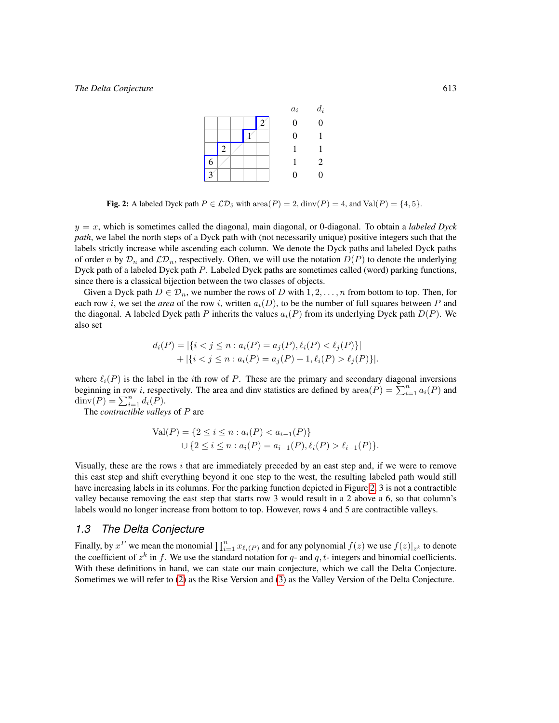|   |   |  |  | $a_i$          | $d_i$ |
|---|---|--|--|----------------|-------|
|   |   |  |  | 0              | 0     |
|   |   |  |  | $\overline{0}$ |       |
|   | 2 |  |  |                |       |
| 6 |   |  |  |                | 2     |
|   |   |  |  | 0              | 0     |

<span id="page-2-0"></span>Fig. 2: A labeled Dyck path  $P \in \mathcal{LD}_5$  with  $\text{area}(P) = 2$ ,  $\text{dinv}(P) = 4$ , and  $\text{Val}(P) = \{4, 5\}.$ 

 $y = x$ , which is sometimes called the diagonal, main diagonal, or 0-diagonal. To obtain a *labeled Dyck path*, we label the north steps of a Dyck path with (not necessarily unique) positive integers such that the labels strictly increase while ascending each column. We denote the Dyck paths and labeled Dyck paths of order n by  $\mathcal{D}_n$  and  $\mathcal{LD}_n$ , respectively. Often, we will use the notation  $D(P)$  to denote the underlying Dyck path of a labeled Dyck path P. Labeled Dyck paths are sometimes called (word) parking functions, since there is a classical bijection between the two classes of objects.

Given a Dyck path  $D \in \mathcal{D}_n$ , we number the rows of D with  $1, 2, \ldots, n$  from bottom to top. Then, for each row i, we set the *area* of the row i, written  $a_i(D)$ , to be the number of full squares between P and the diagonal. A labeled Dyck path P inherits the values  $a_i(P)$  from its underlying Dyck path  $D(P)$ . We also set

$$
d_i(P) = |\{i < j \le n : a_i(P) = a_j(P), \ell_i(P) < \ell_j(P)\}|
$$
  
+ |\{i < j \le n : a\_i(P) = a\_j(P) + 1, \ell\_i(P) > \ell\_j(P)\}|.

where  $\ell_i(P)$  is the label in the *i*th row of P. These are the primary and secondary diagonal inversions beginning in row *i*, respectively. The area and dinv statistics are defined by  $\text{area}(P) = \sum_{i=1}^{n} a_i(P)$  and  $\dim(P) = \sum_{i=1}^{n} d_i(P).$ 

The *contractible valleys* of P are

$$
Val(P) = \{2 \le i \le n : a_i(P) < a_{i-1}(P)\}
$$
\n
$$
\cup \{2 \le i \le n : a_i(P) = a_{i-1}(P), \ell_i(P) > \ell_{i-1}(P)\}.
$$

Visually, these are the rows  $i$  that are immediately preceded by an east step and, if we were to remove this east step and shift everything beyond it one step to the west, the resulting labeled path would still have increasing labels in its columns. For the parking function depicted in Figure [2,](#page-2-0) 3 is not a contractible valley because removing the east step that starts row 3 would result in a 2 above a 6, so that column's labels would no longer increase from bottom to top. However, rows 4 and 5 are contractible valleys.

### *1.3 The Delta Conjecture*

<span id="page-2-1"></span>Finally, by  $x^P$  we mean the monomial  $\prod_{i=1}^n x_{\ell_i(P)}$  and for any polynomial  $f(z)$  we use  $f(z)|_{z^k}$  to denote the coefficient of  $z^k$  in f. We use the standard notation for q- and q, t- integers and binomial coefficients. With these definitions in hand, we can state our main conjecture, which we call the Delta Conjecture. Sometimes we will refer to [\(2\)](#page-3-0) as the Rise Version and [\(3\)](#page-3-1) as the Valley Version of the Delta Conjecture.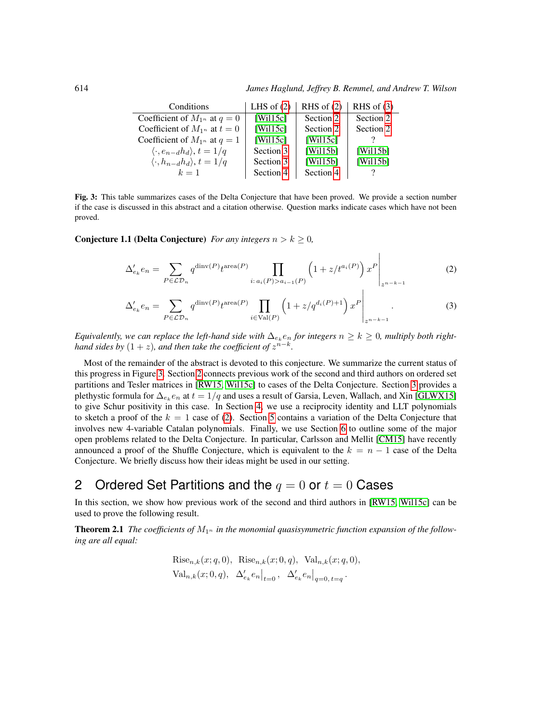614 *James Haglund, Jeffrey B. Remmel, and Andrew T. Wilson*

<span id="page-3-1"></span><span id="page-3-0"></span> $\overline{1}$ 

| Conditions                                    | LHS of $(2)$ | RHS of $(2)$ | RHS of $(3)$ |
|-----------------------------------------------|--------------|--------------|--------------|
| Coefficient of $M_{1^n}$ at $q=0$             | [Will5c]     | Section 2    | Section 2    |
| Coefficient of $M_{1^n}$ at $t=0$             | [Wil15c]     | Section 2    | Section 2    |
| Coefficient of $M_{1^n}$ at $q=1$             | [Wil15c]     | [Will5c]     |              |
| $\langle \cdot, e_{n-d} h_d \rangle, t = 1/q$ | Section 3    | [Wil15b]     | [Wil15b]     |
| $\langle \cdot, h_{n-d} h_d \rangle, t = 1/q$ | Section 3    | [Wil15b]     | [Will5b]     |
| $k=1$                                         | Section 4    | Section 4    |              |

<span id="page-3-3"></span>Fig. 3: This table summarizes cases of the Delta Conjecture that have been proved. We provide a section number if the case is discussed in this abstract and a citation otherwise. Question marks indicate cases which have not been proved.

**Conjecture 1.1 (Delta Conjecture)** *For any integers*  $n > k \geq 0$ *,* 

$$
\Delta'_{e_k} e_n = \sum_{P \in \mathcal{LD}_n} q^{\text{dinv}(P)} t^{\text{area}(P)} \prod_{i: a_i(P) > a_{i-1}(P)} \left(1 + z/t^{a_i(P)}\right) x^P \Big|_{z^{n-k-1}}
$$
(2)

$$
\Delta'_{e_k} e_n = \sum_{P \in \mathcal{LD}_n} q^{\text{dinv}(P)} t^{\text{area}(P)} \prod_{i \in \text{Val}(P)} \left( 1 + z/q^{d_i(P)+1} \right) x^P \Big|_{z^{n-k-1}}.
$$
\n(3)

*Equivalently, we can replace the left-hand side with*  $\Delta_{e_k} e_n$  *for integers*  $n \geq k \geq 0$ *, multiply both righthand sides by*  $(1 + z)$ *, and then take the coefficient of*  $z^{n-k}$ *.* 

Most of the remainder of the abstract is devoted to this conjecture. We summarize the current status of this progress in Figure [3.](#page-3-3) Section [2](#page-3-2) connects previous work of the second and third authors on ordered set partitions and Tesler matrices in [\[RW15,](#page-11-4) [Wil15c\]](#page-11-2) to cases of the Delta Conjecture. Section [3](#page-5-0) provides a plethystic formula for  $\Delta_{e_k} e_n$  at  $t=1/q$  and uses a result of Garsia, Leven, Wallach, and Xin [\[GLWX15\]](#page-11-5) to give Schur positivity in this case. In Section [4,](#page-6-0) we use a reciprocity identity and LLT polynomials to sketch a proof of the  $k = 1$  case of [\(2\)](#page-3-0). Section [5](#page-8-0) contains a variation of the Delta Conjecture that involves new 4-variable Catalan polynomials. Finally, we use Section [6](#page-9-0) to outline some of the major open problems related to the Delta Conjecture. In particular, Carlsson and Mellit [\[CM15\]](#page-10-0) have recently announced a proof of the Shuffle Conjecture, which is equivalent to the  $k = n - 1$  case of the Delta Conjecture. We briefly discuss how their ideas might be used in our setting.

# <span id="page-3-2"></span>2 Ordered Set Partitions and the  $q = 0$  or  $t = 0$  Cases

In this section, we show how previous work of the second and third authors in [\[RW15,](#page-11-4) [Wil15c\]](#page-11-2) can be used to prove the following result.

<span id="page-3-4"></span>**Theorem 2.1** The coefficients of  $M_{1^n}$  in the monomial quasisymmetric function expansion of the follow*ing are all equal:*

Rise<sub>n,k</sub>(x; q, 0), Rise<sub>n,k</sub>(x; 0, q), Val<sub>n,k</sub>(x; q, 0),  
Val<sub>n,k</sub>(x; 0, q), 
$$
\Delta'_{e_k}e_n|_{t=0}
$$
,  $\Delta'_{e_k}e_n|_{q=0, t=q}$ .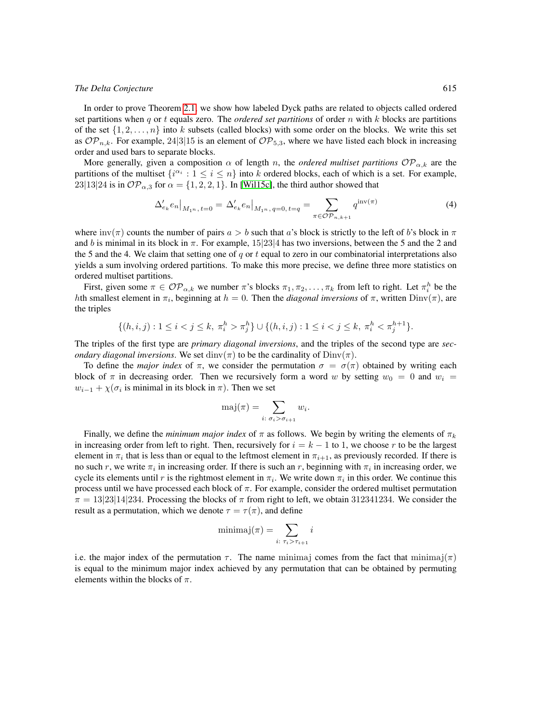In order to prove Theorem [2.1,](#page-3-4) we show how labeled Dyck paths are related to objects called ordered set partitions when q or t equals zero. The *ordered set partitions* of order n with k blocks are partitions of the set  $\{1, 2, \ldots, n\}$  into k subsets (called blocks) with some order on the blocks. We write this set as  $OP_{n,k}$ . For example, 24|3|15 is an element of  $OP_{5,3}$ , where we have listed each block in increasing order and used bars to separate blocks.

More generally, given a composition  $\alpha$  of length n, the *ordered multiset partitions*  $OP_{\alpha,k}$  are the partitions of the multiset  $\{i^{\alpha_i} : 1 \le i \le n\}$  into k ordered blocks, each of which is a set. For example, 23|13|24 is in  $OP_{\alpha,3}$  for  $\alpha = \{1, 2, 2, 1\}$ . In [\[Wil15c\]](#page-11-2), the third author showed that

$$
\Delta'_{e_k} e_n \big|_{M_1 n, t=0} = \Delta'_{e_k} e_n \big|_{M_1 n, q=0, t=q} = \sum_{\pi \in \mathcal{OP}_{n,k+1}} q^{\text{inv}(\pi)} \tag{4}
$$

where  $inv(\pi)$  counts the number of pairs  $a > b$  such that a's block is strictly to the left of b's block in  $\pi$ and b is minimal in its block in  $\pi$ . For example, 15|23|4 has two inversions, between the 5 and the 2 and the 5 and the 4. We claim that setting one of  $q$  or  $t$  equal to zero in our combinatorial interpretations also yields a sum involving ordered partitions. To make this more precise, we define three more statistics on ordered multiset partitions.

First, given some  $\pi \in \mathcal{OP}_{\alpha,k}$  we number  $\pi$ 's blocks  $\pi_1, \pi_2, \ldots, \pi_k$  from left to right. Let  $\pi_i^h$  be the hth smallest element in  $\pi_i$ , beginning at  $h = 0$ . Then the *diagonal inversions* of  $\pi$ , written  $\text{Dim}(\pi)$ , are the triples

$$
\{(h,i,j): 1 \leq i < j \leq k, \ \pi_i^h > \pi_j^h\} \cup \{(h,i,j): 1 \leq i < j \leq k, \ \pi_i^h < \pi_j^{h+1}\}.
$$

The triples of the first type are *primary diagonal inversions*, and the triples of the second type are *secondary diagonal inversions.* We set  $\dim(\pi)$  to be the cardinality of  $Dim(\pi)$ .

To define the *major index* of  $\pi$ , we consider the permutation  $\sigma = \sigma(\pi)$  obtained by writing each block of  $\pi$  in decreasing order. Then we recursively form a word w by setting  $w_0 = 0$  and  $w_i =$  $w_{i-1} + \chi(\sigma_i)$  is minimal in its block in  $\pi$ ). Then we set

$$
\mathrm{maj}(\pi) = \sum_{i: \; \sigma_i > \sigma_{i+1}} w_i.
$$

Finally, we define the *minimum major index* of  $\pi$  as follows. We begin by writing the elements of  $\pi_k$ in increasing order from left to right. Then, recursively for  $i = k - 1$  to 1, we choose r to be the largest element in  $\pi_i$  that is less than or equal to the leftmost element in  $\pi_{i+1}$ , as previously recorded. If there is no such r, we write  $\pi_i$  in increasing order. If there is such an r, beginning with  $\pi_i$  in increasing order, we cycle its elements until r is the rightmost element in  $\pi_i$ . We write down  $\pi_i$  in this order. We continue this process until we have processed each block of  $\pi$ . For example, consider the ordered multiset permutation  $\pi = 13|23|14|234$ . Processing the blocks of  $\pi$  from right to left, we obtain 312341234. We consider the result as a permutation, which we denote  $\tau = \tau(\pi)$ , and define

$$
\text{minimaj}(\pi) = \sum_{i: \ \tau_i > \tau_{i+1}} i
$$

<span id="page-4-0"></span>i.e. the major index of the permutation  $\tau$ . The name minimaj comes from the fact that minimaj( $\pi$ ) is equal to the minimum major index achieved by any permutation that can be obtained by permuting elements within the blocks of  $\pi$ .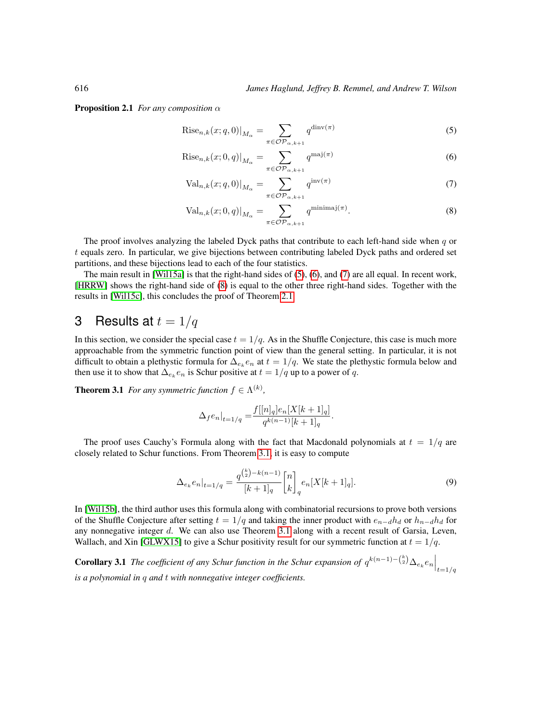**Proposition 2.1** *For any composition*  $\alpha$ 

<span id="page-5-1"></span>
$$
Rise_{n,k}(x;q,0)|_{M_{\alpha}} = \sum_{\pi \in \mathcal{OP}_{\alpha,k+1}} q^{\text{dinv}(\pi)}
$$
(5)

$$
\text{Rise}_{n,k}(x;0,q)|_{M_{\alpha}} = \sum_{\pi \in \mathcal{OP}_{\alpha,k+1}} q^{\text{maj}(\pi)} \tag{6}
$$

<span id="page-5-3"></span><span id="page-5-2"></span>
$$
\text{Val}_{n,k}(x;q,0)|_{M_{\alpha}} = \sum_{\pi \in \mathcal{OP}_{\alpha,k+1}} q^{\text{inv}(\pi)} \tag{7}
$$

<span id="page-5-4"></span>
$$
\text{Val}_{n,k}(x;0,q)|_{M_{\alpha}} = \sum_{\pi \in \mathcal{OP}_{\alpha,k+1}} q^{\text{minimaj}(\pi)}.
$$
 (8)

The proof involves analyzing the labeled Dyck paths that contribute to each left-hand side when  $q$  or t equals zero. In particular, we give bijections between contributing labeled Dyck paths and ordered set partitions, and these bijections lead to each of the four statistics.

The main result in [\[Wil15a\]](#page-11-6) is that the right-hand sides of [\(5\)](#page-5-1), [\(6\)](#page-5-2), and [\(7\)](#page-5-3) are all equal. In recent work, [\[HRRW\]](#page-11-7) shows the right-hand side of [\(8\)](#page-5-4) is equal to the other three right-hand sides. Together with the results in [\[Wil15c\]](#page-11-2), this concludes the proof of Theorem [2.1.](#page-3-4)

# <span id="page-5-0"></span>3 Results at  $t = 1/q$

In this section, we consider the special case  $t = 1/q$ . As in the Shuffle Conjecture, this case is much more approachable from the symmetric function point of view than the general setting. In particular, it is not difficult to obtain a plethystic formula for  $\Delta_{e_k} e_n$  at  $t = 1/q$ . We state the plethystic formula below and then use it to show that  $\Delta_{e_k} e_n$  is Schur positive at  $t = 1/q$  up to a power of q.

<span id="page-5-5"></span>**Theorem 3.1** *For any symmetric function*  $f \in \Lambda^{(k)}$ *,* 

$$
\Delta_f e_n|_{t=1/q} = \frac{f[[n]_q]e_n[X[k+1]_q]}{q^{k(n-1)}[k+1]_q}.
$$

The proof uses Cauchy's Formula along with the fact that Macdonald polynomials at  $t = 1/q$  are closely related to Schur functions. From Theorem [3.1,](#page-5-5) it is easy to compute

$$
\Delta_{e_k} e_n|_{t=1/q} = \frac{q^{\binom{k}{2}-k(n-1)}}{[k+1]_q} \begin{bmatrix} n \\ k \end{bmatrix}_q e_n[X[k+1]_q].\tag{9}
$$

In [\[Wil15b\]](#page-11-3), the third author uses this formula along with combinatorial recursions to prove both versions of the Shuffle Conjecture after setting  $t = 1/q$  and taking the inner product with  $e_{n-d}h_d$  or  $h_{n-d}h_d$  for any nonnegative integer d. We can also use Theorem [3.1](#page-5-5) along with a recent result of Garsia, Leven, Wallach, and Xin [\[GLWX15\]](#page-11-5) to give a Schur positivity result for our symmetric function at  $t = 1/q$ .

**Corollary 3.1** *The coefficient of any Schur function in the Schur expansion of*  $q^{k(n-1)-\binom{k}{2}}\Delta_{e_k}e_n\Big|_{t=1/q}$ *is a polynomial in* q *and* t *with nonnegative integer coefficients.*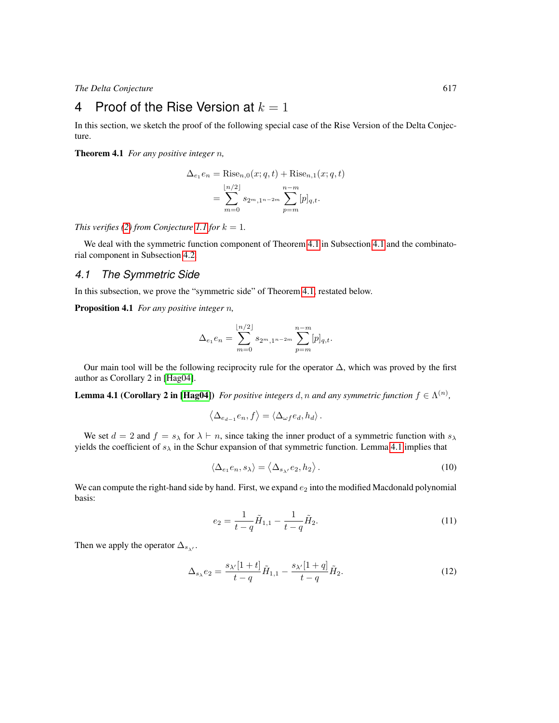# <span id="page-6-0"></span>4 Proof of the Rise Version at  $k = 1$

In this section, we sketch the proof of the following special case of the Rise Version of the Delta Conjecture.

<span id="page-6-1"></span>Theorem 4.1 *For any positive integer* n*,*

$$
\Delta_{e_1} e_n = \text{Rise}_{n,0}(x; q, t) + \text{Rise}_{n,1}(x; q, t)
$$

$$
= \sum_{m=0}^{\lfloor n/2 \rfloor} s_{2^m,1^{n-2m}} \sum_{p=m}^{n-m} [p]_{q,t}.
$$

*This verifies* [\(2\)](#page-3-0) *from Conjecture* [1.1](#page-2-1) *for*  $k = 1$ *.* 

We deal with the symmetric function component of Theorem [4.1](#page-6-1) in Subsection [4.1](#page-6-2) and the combinatorial component in Subsection [4.2.](#page-7-0)

#### <span id="page-6-2"></span>*4.1 The Symmetric Side*

<span id="page-6-4"></span>In this subsection, we prove the "symmetric side" of Theorem [4.1,](#page-6-1) restated below.

Proposition 4.1 *For any positive integer* n*,*

$$
\Delta_{e_1} e_n = \sum_{m=0}^{\lfloor n/2 \rfloor} s_{2^m, 1^{n-2m}} \sum_{p=m}^{n-m} [p]_{q,t}.
$$

Our main tool will be the following reciprocity rule for the operator  $\Delta$ , which was proved by the first author as Corollary 2 in [\[Hag04\]](#page-11-8).

<span id="page-6-3"></span>**Lemma 4.1 (Corollary 2 in [\[Hag04\]](#page-11-8))** For positive integers d, n and any symmetric function  $f \in \Lambda^{(n)}$ ,

$$
\left\langle \Delta_{e_{d-1}}e_n, f \right\rangle = \left\langle \Delta_{\omega f}e_d, h_d \right\rangle.
$$

We set  $d = 2$  and  $f = s_\lambda$  for  $\lambda \vdash n$ , since taking the inner product of a symmetric function with  $s_\lambda$ yields the coefficient of  $s_{\lambda}$  in the Schur expansion of that symmetric function. Lemma [4.1](#page-6-3) implies that

$$
\langle \Delta_{e_1} e_n, s_\lambda \rangle = \langle \Delta_{s_\lambda}, e_2, h_2 \rangle. \tag{10}
$$

We can compute the right-hand side by hand. First, we expand  $e_2$  into the modified Macdonald polynomial basis:

$$
e_2 = \frac{1}{t-q}\tilde{H}_{1,1} - \frac{1}{t-q}\tilde{H}_2.
$$
\n(11)

Then we apply the operator  $\Delta_{s_{\lambda'}}$ .

$$
\Delta_{s_{\lambda}}e_2 = \frac{s_{\lambda'}[1+t]}{t-q}\tilde{H}_{1,1} - \frac{s_{\lambda'}[1+q]}{t-q}\tilde{H}_2.
$$
\n(12)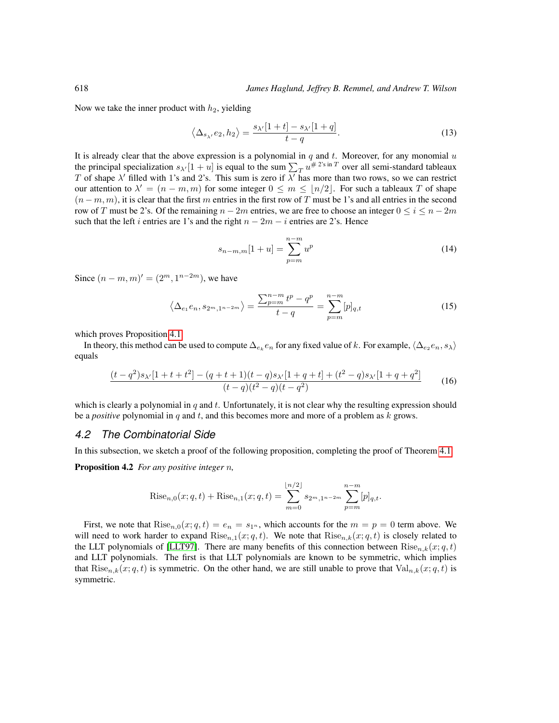Now we take the inner product with  $h_2$ , yielding

$$
\langle \Delta_{s_{\lambda'}} e_2, h_2 \rangle = \frac{s_{\lambda'}[1+t] - s_{\lambda'}[1+q]}{t-q}.
$$
\n(13)

It is already clear that the above expression is a polynomial in  $q$  and  $t$ . Moreover, for any monomial  $u$ the principal specialization  $s_{\lambda'}[1 + u]$  is equal to the sum  $\sum_{T} u^{#2 \text{'s in } T}$  over all semi-standard tableaux T of shape  $\lambda'$  filled with 1's and 2's. This sum is zero if  $\lambda'$  has more than two rows, so we can restrict our attention to  $\lambda' = (n - m, m)$  for some integer  $0 \le m \le \lfloor n/2 \rfloor$ . For such a tableaux T of shape  $(n-m, m)$ , it is clear that the first m entries in the first row of T must be 1's and all entries in the second row of T must be 2's. Of the remaining  $n - 2m$  entries, we are free to choose an integer  $0 \le i \le n - 2m$ such that the left i entries are 1's and the right  $n - 2m - i$  entries are 2's. Hence

$$
s_{n-m,m}[1+u] = \sum_{p=m}^{n-m} u^p
$$
 (14)

Since  $(n - m, m)' = (2^m, 1^{n-2m})$ , we have

$$
\left\langle \Delta_{e_1} e_n, s_{2^m, 1^{n-2m}} \right\rangle = \frac{\sum_{p=m}^{n-m} t^p - q^p}{t - q} = \sum_{p=m}^{n-m} [p]_{q,t} \tag{15}
$$

which proves Proposition [4.1.](#page-6-4)

In theory, this method can be used to compute  $\Delta_{e_k}e_n$  for any fixed value of  $k.$  For example,  $\langle\Delta_{e_2}e_n, s_\lambda\rangle$ equals

$$
\frac{(t-q^2)s_{\lambda'}[1+t+t^2] - (q+t+1)(t-q)s_{\lambda'}[1+q+t] + (t^2-q)s_{\lambda'}[1+q+q^2]}{(t-q)(t^2-q)(t-q^2)}
$$
(16)

which is clearly a polynomial in  $q$  and  $t$ . Unfortunately, it is not clear why the resulting expression should be a *positive* polynomial in q and t, and this becomes more and more of a problem as k grows.

#### <span id="page-7-0"></span>*4.2 The Combinatorial Side*

In this subsection, we sketch a proof of the following proposition, completing the proof of Theorem [4.1.](#page-6-1)

Proposition 4.2 *For any positive integer* n*,*

Rise<sub>n,0</sub>(x; q, t) + Rise<sub>n,1</sub>(x; q, t) = 
$$
\sum_{m=0}^{\lfloor n/2 \rfloor} s_{2^m, 1^{n-2m}} \sum_{p=m}^{n-m} [p]_{q,t}.
$$

First, we note that  $Rise_{n,0}(x; q, t) = e_n = s_1$ , which accounts for the  $m = p = 0$  term above. We will need to work harder to expand  $Rise_{n,1}(x; q, t)$ . We note that  $Rise_{n,k}(x; q, t)$  is closely related to the LLT polynomials of [\[LLT97\]](#page-11-9). There are many benefits of this connection between  $Rise_{n,k}(x; q, t)$ and LLT polynomials. The first is that LLT polynomials are known to be symmetric, which implies that  $Rise_{n,k}(x; q, t)$  is symmetric. On the other hand, we are still unable to prove that  $Val_{n,k}(x; q, t)$  is symmetric.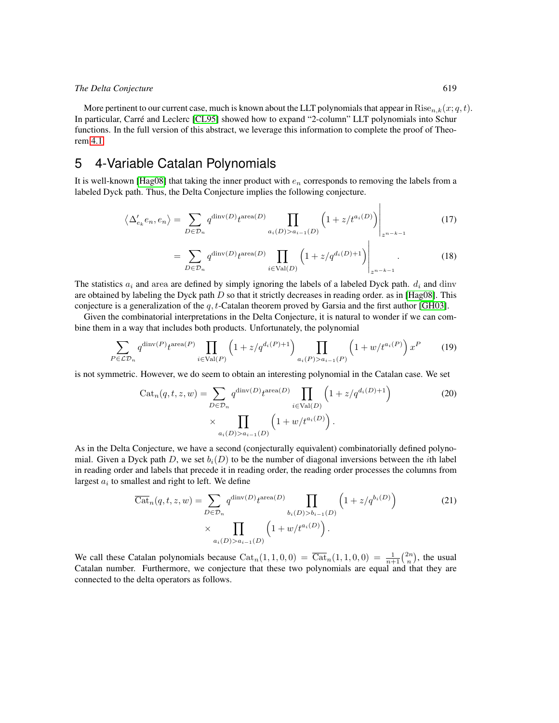More pertinent to our current case, much is known about the LLT polynomials that appear in  $Rise_{n,k}(x; q, t)$ . In particular, Carre and Leclerc [\[CL95\]](#page-10-1) showed how to expand "2-column" LLT polynomials into Schur ´ functions. In the full version of this abstract, we leverage this information to complete the proof of Theorem [4.1.](#page-6-1)

# <span id="page-8-0"></span>5 4-Variable Catalan Polynomials

It is well-known [\[Hag08\]](#page-11-10) that taking the inner product with  $e_n$  corresponds to removing the labels from a labeled Dyck path. Thus, the Delta Conjecture implies the following conjecture.

$$
\left\langle \Delta_{e_k}^{\prime} e_n, e_n \right\rangle = \sum_{D \in \mathcal{D}_n} q^{\text{dinv}(D)} t^{\text{area}(D)} \prod_{a_i(D) > a_{i-1}(D)} \left( 1 + z / t^{a_i(D)} \right) \Bigg|_{z^{n-k-1}}
$$
(17)

$$
=\sum_{D\in\mathcal{D}_n}q^{\text{dinv}(D)}t^{\text{area}(D)}\prod_{i\in\text{Val}(D)}\left(1+z/q^{d_i(D)+1}\right)\Bigg|_{z^{n-k-1}}.\tag{18}
$$

The statistics  $a_i$  and area are defined by simply ignoring the labels of a labeled Dyck path.  $d_i$  and dinv are obtained by labeling the Dyck path  $D$  so that it strictly decreases in reading order. as in [\[Hag08\]](#page-11-10). This conjecture is a generalization of the  $q, t$ -Catalan theorem proved by Garsia and the first author [\[GH03\]](#page-10-2).

Given the combinatorial interpretations in the Delta Conjecture, it is natural to wonder if we can combine them in a way that includes both products. Unfortunately, the polynomial

$$
\sum_{P \in \mathcal{LD}_n} q^{\text{dinv}(P)} t^{\text{area}(P)} \prod_{i \in \text{Val}(P)} \left(1 + z/q^{d_i(P) + 1}\right) \prod_{a_i(P) > a_{i-1}(P)} \left(1 + w/t^{a_i(P)}\right) x^P \tag{19}
$$

is not symmetric. However, we do seem to obtain an interesting polynomial in the Catalan case. We set

$$
\operatorname{Cat}_n(q, t, z, w) = \sum_{D \in \mathcal{D}_n} q^{\operatorname{dinv}(D)} t^{\operatorname{area}(D)} \prod_{i \in \operatorname{Val}(D)} \left(1 + z/q^{d_i(D)+1}\right) \tag{20}
$$

$$
\times \prod_{a_i(D) > a_{i-1}(D)} \left(1 + w/t^{a_i(D)}\right).
$$

As in the Delta Conjecture, we have a second (conjecturally equivalent) combinatorially defined polynomial. Given a Dyck path D, we set  $b_i(D)$  to be the number of diagonal inversions between the *i*th label in reading order and labels that precede it in reading order, the reading order processes the columns from largest  $a_i$  to smallest and right to left. We define

$$
\overline{\text{Cat}}_n(q, t, z, w) = \sum_{D \in \mathcal{D}_n} q^{\text{dinv}(D)} t^{\text{area}(D)} \prod_{b_i(D) > b_{i-1}(D)} \left(1 + z/q^{b_i(D)}\right)
$$
\n
$$
\times \prod_{a_i(D) > a_{i-1}(D)} \left(1 + w/t^{a_i(D)}\right).
$$
\n(21)

<span id="page-8-1"></span>We call these Catalan polynomials because  $\text{Cat}_n(1, 1, 0, 0) = \overline{\text{Cat}}_n(1, 1, 0, 0) = \frac{1}{n+1} {2n \choose n}$ , the usual Catalan number. Furthermore, we conjecture that these two polynomials are equal and that they are connected to the delta operators as follows.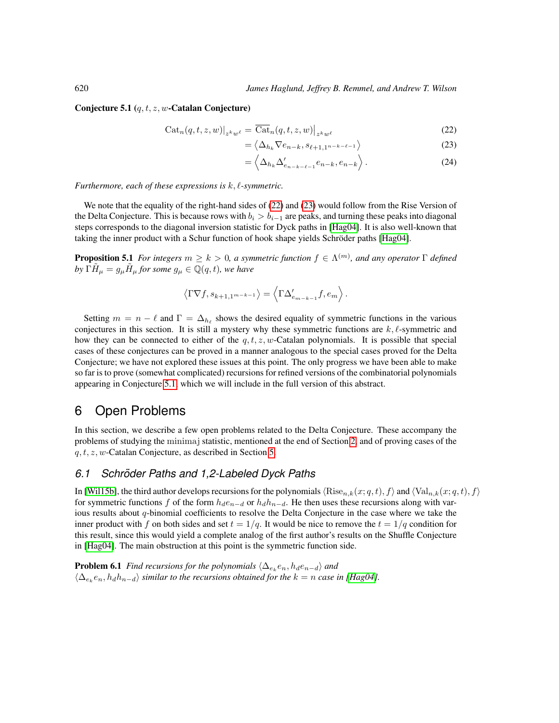#### Conjecture 5.1  $(q, t, z, w$ -Catalan Conjecture)

$$
Cat_n(q, t, z, w)|_{z^k w^\ell} = \overline{\text{Cat}}_n(q, t, z, w)|_{z^k w^\ell}
$$
\n(22)

$$
= \langle \Delta_{h_k} \nabla e_{n-k}, s_{\ell+1, 1^{n-k-\ell-1}} \rangle \tag{23}
$$

<span id="page-9-2"></span><span id="page-9-1"></span>
$$
= \left\langle \Delta_{h_k} \Delta'_{e_{n-k-\ell-1}} e_{n-k}, e_{n-k} \right\rangle. \tag{24}
$$

*Furthermore, each of these expressions is*  $k, l$ -symmetric.

We note that the equality of the right-hand sides of [\(22\)](#page-9-1) and [\(23\)](#page-9-2) would follow from the Rise Version of the Delta Conjecture. This is because rows with  $b_i > b_{i-1}$  are peaks, and turning these peaks into diagonal steps corresponds to the diagonal inversion statistic for Dyck paths in [\[Hag04\]](#page-11-8). It is also well-known that taking the inner product with a Schur function of hook shape yields Schröder paths [\[Hag04\]](#page-11-8).

**Proposition 5.1** For integers  $m \geq k > 0$ , a symmetric function  $f \in \Lambda^{(m)}$ , and any operator  $\Gamma$  defined by  $\tilde{\Gamma}\tilde{H}_{\mu} = g_{\mu}\tilde{H}_{\mu}$  for some  $g_{\mu} \in \mathbb{Q}(q,t)$ , we have

$$
\left\langle \Gamma \nabla f, s_{k+1,1^{m-k-1}} \right\rangle = \left\langle \Gamma \Delta'_{e_{m-k-1}} f, e_m \right\rangle.
$$

Setting  $m = n - \ell$  and  $\Gamma = \Delta_{h_\ell}$  shows the desired equality of symmetric functions in the various conjectures in this section. It is still a mystery why these symmetric functions are  $k, \ell$ -symmetric and how they can be connected to either of the  $q, t, z, w$ -Catalan polynomials. It is possible that special cases of these conjectures can be proved in a manner analogous to the special cases proved for the Delta Conjecture; we have not explored these issues at this point. The only progress we have been able to make so far is to prove (somewhat complicated) recursions for refined versions of the combinatorial polynomials appearing in Conjecture [5.1,](#page-8-1) which we will include in the full version of this abstract.

# <span id="page-9-0"></span>6 Open Problems

In this section, we describe a few open problems related to the Delta Conjecture. These accompany the problems of studying the minimaj statistic, mentioned at the end of Section [2,](#page-3-2) and of proving cases of the  $q, t, z, w$ -Catalan Conjecture, as described in Section [5.](#page-8-0)

### *6.1 Schroder Paths and 1,2-Labeled Dyck Paths ¨*

In [\[Wil15b\]](#page-11-3), the third author develops recursions for the polynomials  $\langle\text{Rise}_{n,k}(x; q, t), f\rangle$  and  $\langle\text{Val}_{n,k}(x; q, t), f\rangle$ for symmetric functions f of the form  $h_d e_{n-d}$  or  $h_d h_{n-d}$ . He then uses these recursions along with various results about q-binomial coefficients to resolve the Delta Conjecture in the case where we take the inner product with f on both sides and set  $t = 1/q$ . It would be nice to remove the  $t = 1/q$  condition for this result, since this would yield a complete analog of the first author's results on the Shuffle Conjecture in [\[Hag04\]](#page-11-8). The main obstruction at this point is the symmetric function side.

**Problem 6.1** *Find recursions for the polynomials*  $\langle \Delta_{e_k} e_n, h_d e_{n-d} \rangle$  *and*  $\langle \Delta_{e_k} e_n, h_d h_{n-d} \rangle$  *similar to the recursions obtained for the*  $k = n$  *case in [\[Hag04\]](#page-11-8).*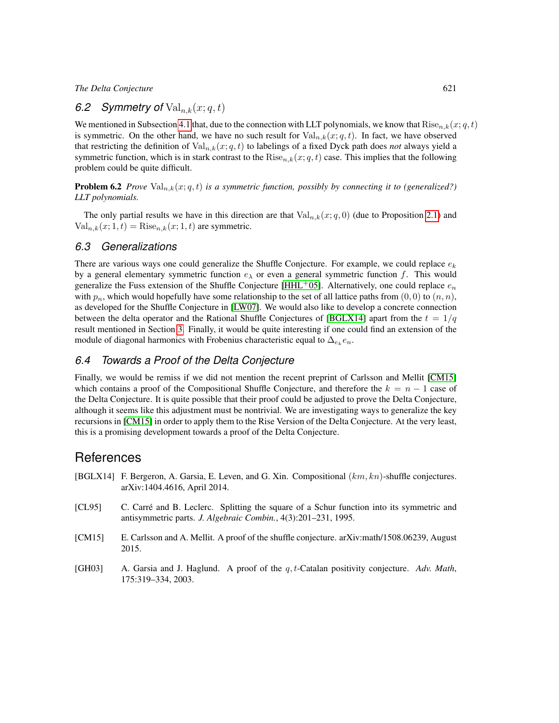## 6.2 Symmetry of  $Val_{n,k}(x; q, t)$

We mentioned in Subsection [4.1](#page-6-2) that, due to the connection with LLT polynomials, we know that  $Rise_{n,k}(x; q, t)$ is symmetric. On the other hand, we have no such result for  $Val_{n,k}(x; q, t)$ . In fact, we have observed that restricting the definition of  $\text{Val}_{n,k}(x; q, t)$  to labelings of a fixed Dyck path does *not* always yield a symmetric function, which is in stark contrast to the  $Rise_{n,k}(x; q, t)$  case. This implies that the following problem could be quite difficult.

**Problem 6.2** *Prove*  $Val_{n,k}(x;q,t)$  *is a symmetric function, possibly by connecting it to (generalized?) LLT polynomials.*

The only partial results we have in this direction are that  $Val_{n,k}(x; q, 0)$  (due to Proposition [2.1\)](#page-4-0) and  $Val_{n,k}(x; 1, t) = Rise_{n,k}(x; 1, t)$  are symmetric.

### *6.3 Generalizations*

There are various ways one could generalize the Shuffle Conjecture. For example, we could replace  $e_k$ by a general elementary symmetric function  $e_{\lambda}$  or even a general symmetric function f. This would generalize the Fuss extension of the Shuffle Conjecture [\[HHL](#page-11-1)+05]. Alternatively, one could replace  $e_n$ with  $p_n$ , which would hopefully have some relationship to the set of all lattice paths from  $(0, 0)$  to  $(n, n)$ , as developed for the Shuffle Conjecture in [\[LW07\]](#page-11-11). We would also like to develop a concrete connection between the delta operator and the Rational Shuffle Conjectures of [\[BGLX14\]](#page-10-3) apart from the  $t = 1/q$ result mentioned in Section [3.](#page-5-0) Finally, it would be quite interesting if one could find an extension of the module of diagonal harmonics with Frobenius characteristic equal to  $\Delta_{e_k} e_n$ .

### *6.4 Towards a Proof of the Delta Conjecture*

Finally, we would be remiss if we did not mention the recent preprint of Carlsson and Mellit [\[CM15\]](#page-10-0) which contains a proof of the Compositional Shuffle Conjecture, and therefore the  $k = n - 1$  case of the Delta Conjecture. It is quite possible that their proof could be adjusted to prove the Delta Conjecture, although it seems like this adjustment must be nontrivial. We are investigating ways to generalize the key recursions in [\[CM15\]](#page-10-0) in order to apply them to the Rise Version of the Delta Conjecture. At the very least, this is a promising development towards a proof of the Delta Conjecture.

# References

- <span id="page-10-3"></span>[BGLX14] F. Bergeron, A. Garsia, E. Leven, and G. Xin. Compositional  $(km, kn)$ -shuffle conjectures. arXiv:1404.4616, April 2014.
- <span id="page-10-1"></span>[CL95] C. Carre and B. Leclerc. Splitting the square of a Schur function into its symmetric and ´ antisymmetric parts. *J. Algebraic Combin.*, 4(3):201–231, 1995.
- <span id="page-10-0"></span>[CM15] E. Carlsson and A. Mellit. A proof of the shuffle conjecture. arXiv:math/1508.06239, August 2015.
- <span id="page-10-2"></span>[GH03] A. Garsia and J. Haglund. A proof of the q, t-Catalan positivity conjecture. *Adv. Math*, 175:319–334, 2003.